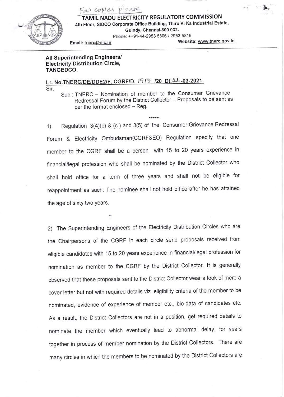

Fair copies please IL NADU ELECTRICITY REGULATORY COMMISSION 4th Floor, SIDCO Corporate Office Building, Thiru Vi Ka Industrial Estate, Guindy, Chennai-600 032.

Phone: ++91-44-2953 5806 / 2953 5816

Email: tnerc@nic.in Website: www.tnerc.gov.in

\*,

## All Superintending Engineers/ Electricity Distribution Circle, TANGEDCO.

Sir, Lr. No.TNERC/DE/DDE2/F. CGRF/D.  $1917$  /20 Dt. 26-03-2021.

Sub : TNERC - Nomination of member to the Consumer Grievance Redressal Forum by the District Collector - Proposals to be sent as per the format enclosed - Reg.

1) Regulation  $3(4)(b)$  & (c ) and  $3(5)$  of the Consumer Grievance Redressal Forum & Electricity Ombudsman(CGRF&EO) Regulation specify that one member to the CGRF shall be a person with 15 to 20 years experience in financial/legal profession who shall be nominated by the District collector who shall hold office for a term of three years and shall not be eligible for reappointment as such. The nominee shall not hold office after he has attained the age of sixty two years.

2) The superintending Engineers of the Electricity Distribution circles who are the Chairpersons of the CGRF in each circle send proposals received from eligible candidates with 15 to 20 years experience in financial/legal profession for nomination as member to the CGRF by the District collector. lt is generally observed that these proposals sent to the District collector wear a look of mere <sup>a</sup> cover letter but not with required details viz. eligibility criteria of the member to be nominated, evidence of experience of member etc., bio-data of candidates etc. As a result, the District collectors are not in a position, get required details to nominate the member which eventually lead to abnormal delay, for years together in process of member nomination by the District collectors. There are many circles in which the members to be nominated by the District collectors are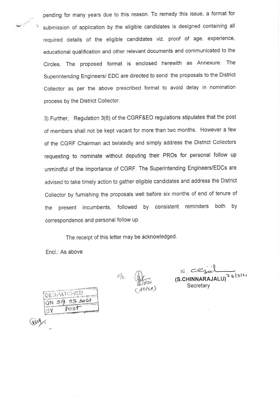pending for many years due to this reason. To remedy this issue, a format for submission of application by the eligible candidates is designed containing all required details of the eligible candidates viz. proof of age, experience, educational qualification and other relevant documents and communicated to the Circles. The proposed format is enclosed herewith as Annexure. The superintending Engineers/ EDC are directed to send the proposals to the District collector as per the above prescribed format to avoid delay in nomination process by the District Collector.

3) Further, Regulation 3(6) of the CGRF&EO regulations stipulates that the post of members shall not be kept vacant for more than two months. However a few of the CGRF Chairman act belatedly and simply address the District collectors requesting to nominate without deputing their PROs for personal follow up unmindful of the importance of CGRF. The Superintending Engineers/EDCs are advised to take timely action to gather eligible candidates and address the District collector by furnishing the proposals well before six months of end of tenure of the present incumbents, followed by consistent reminders both by correspondence and personal follow up.

The receipt of this letter may be acknowledged

 $v|_{C}$ 

Encl.: As above

Gery.

DESPATO ON 29.03.0021 3Y Pos

 $3^{\prime}$  $(AD/sA)$ 

 $\overline{JALU}$ <sup>2</sup> 6/3/21 Secretary